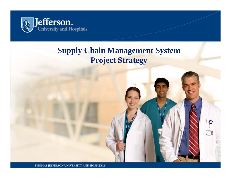

#### **Supply Chain Management System Project Strategy**

THOMAS JEFFERSON UNIVERSITY AND HOSPITALS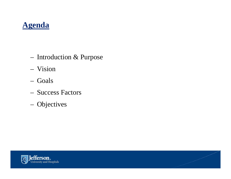### **Agenda**

- $-$  Introduction  $\&$  Purpose
- Vision
- Goals
- Success Factors
- Objectives

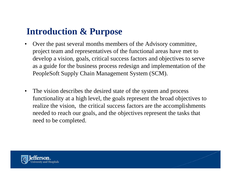### **Introduction & Purpose**

- • Over the past several months members of the Advisory committee, project team and representatives of the functional areas have met to develop a vision, goals, critical success factors and objectives to serve as a guide for the business process redesign and implementation of the PeopleSoft Supply Chain Management System (SCM).
- • The vision describes the desired state of the system and process functionality at a high level, the goals represent the broad objectives to realize the vision, the critical success factors are the accomplishments needed to reach our goals, and the objectives represent the tasks that need to be com pleted.

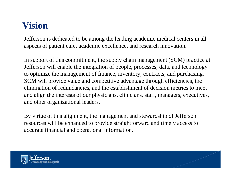## **Vision**

Jefferson is dedicated to be among the leading academic medical centers in all aspects of patient care, academic excellence, and research innovation.

In support of this commitment, the supply chain management (SCM) practice at Jefferson will enable the integration of people, processes, data, and technology to optimize the management of finance, inventory, contracts, and purchasing. SCM will provide value and competitive advantage through efficiencies, the elimination of redundancies, and the establishment of decision metrics to meet and align the interests of our physicians, clinicians, staff, managers, executives, and other organizational leaders.

By virtue of this alignment, the management and stewardship of Jefferson resources will be enhanced to provide straightforward and timely access to accurate financial and operational information.

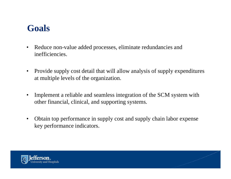### **Goals**

- $\bullet$  Reduce non-value added processes, eliminate redundancies and inefficiencies.
- $\bullet$  Provide supply cost detail that will allow analysis of supply expenditures at multiple levels of the organization.
- $\bullet$  Implement a reliable and seamless integration of the SCM system with other financial, clinical, and supporting systems.
- $\bullet$  Obtain top performance in supply cost and supply chain labor expense key performance indicators.

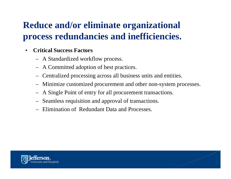# **Reduce and/or eliminate organizational process redundanci i ffi i i ies and ineffi c ienc ies.**

- • **Critical Success Factors**
	- A Standardized workflow process.
	- A Committed adoption of best practices.
	- Centralized processing across all business units and entities.
	- Minimize customized procurement and other non-system processes.
	- A Single Point of entry for all procurement transactions.
	- $-$  Seamless requisition and approval of transactions.
	- Elimination of Redundant Data and Processes.

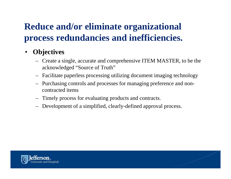# **Reduce and/or eliminate organizational process redundancies and inefficiencies.**

#### $\bullet$ **Objectives**

- Create a single, accurate and comprehensive ITEM MASTER, to be the acknowledged "Source of Truth"
- Facilitate paperless processing utilizing document imaging technology
- Purchasing controls and processes for managing preference and noncontracted items
- Timel yp gp rocess for evaluatin g products and contracts.
- Development of a simplified, clearly-defined approval process.

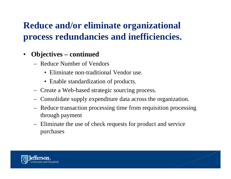# **Reduce and/or eliminate organizational process redundancies and inefficiencies.**

- $\bullet$  **Objectives – continued**
	- Reduce Number of Vendors
		- Eliminate non-traditional Vendor use.
		- Enable standardization of products.
	- –Create a Web-based strategic sourcing process.
	- – $-$  Consolidate supply expenditure data across the organization.
	- – Reduce transaction processing time from requisition processing through payment
	- Eliminate the use of check requests for product and service purchases

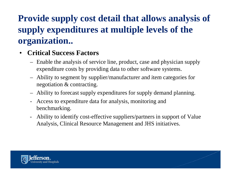# **Provide supply cost detail that allows analysis of supp y p p l y ex penditures at multi ple levels of the organization..**

#### •**Critical Success Factors**

- – Enable the analysis of service line, product, case and physician supply expenditure costs by providing data to other software systems.
- $-$  Ability to segment by supplier/manufacturer and item categories for negotiation & contracting.
- –Ability to forecast supply expenditures for supply demand planning.
- -Access to expenditure data for analysis, monitoring and benchmarking.
- - Ability to identify cost-effective suppliers/partners in support of Value Analysis, Clinical Resource Management and JHS initiatives.

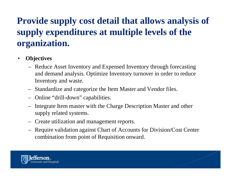# **Provide supply cost detail that allows analysis of supply expenditures at multiple levels of the multiple organization.**

- • **Objectives**
	- – Reduce Asset Inventory and Expensed Inventory through forecasting and demand analysis. Optimize Inventory turnover in order to reduce Inventory and waste.
	- –Standardize and categorize the Item Master and Vendor files.
	- Online "drill-down" ca pabilities.
	- – Integrate Item master with the Charge Description Master and other supply related systems.
	- –- Create utilization and management reports.
	- – Require validation against Chart of Accounts for Division/Cost Center combination from point of Requisition onward.

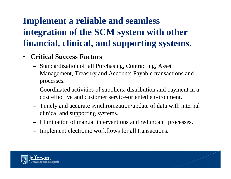# **Implement a reliable and seamless integration of the SCM system with other the with financial, clinical, and supporting systems.**

#### $\bullet$ **•** Critical Success Factors

- Standardization of all Purchasing, Contracting, Asset Management, Treasury and Accounts Payable transactions and processes.
- Coordinated activities of suppliers, distribution and payment in a cost effective and customer service**-**oriented environment.
- Timely and accurate synchronization/update of data with internal clinical and supporting systems.
- Elimination of manual interventions and redundant processes.
- Implement electronic workflows for all transactions.

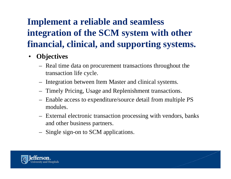# **Implement a reliable and seamless integration of the SCM system with other the with financial, clinical, and supporting systems.**

- $\bullet$  **Objectives**
	- – Real time data on procurement transactions throughout the transaction life cycle.
	- –Integration between Item Master and clinical systems.
	- –Timely Pricing, Usage and Replenishment transactions.
	- – $-$  Enable access to expenditure/source detail from multiple PS modules.
	- External electronic transaction processing with vendors, banks and other business partners.
	- Single sign-on to SCM applications.

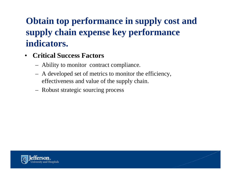# **Obtain top performance in supply cost and supply chain expense key performance expense key performance indicators.**

- • **Critical Success Factors**
	- Ability to monitor contract compliance.
	- A developed set of metrics to monitor the efficiency, effectiveness and value of the supply chain.
	- Robust strategic sourcing process